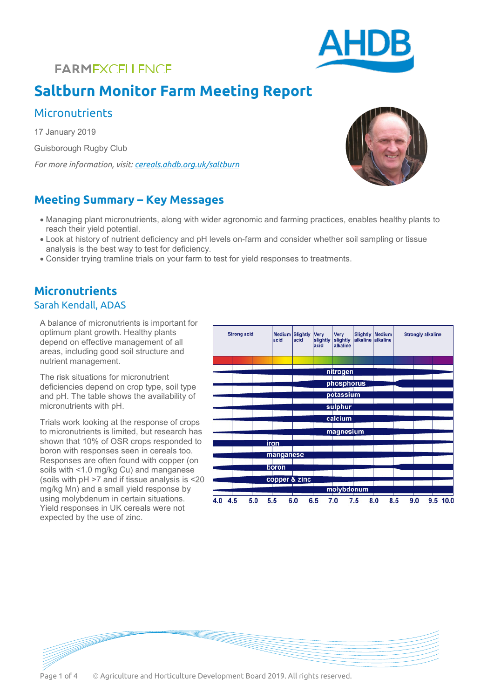## **FARMEXCELLENCE**

# **Saltburn Monitor Farm Meeting Report**

### **Micronutrients**

17 January 2019 Guisborough Rugby Club

*For more information, visit[: cereals.ahdb.org.uk/saltburn](https://cereals.ahdb.org.uk/saltburn)*

### **Meeting Summary – Key Messages**

- Managing plant micronutrients, along with wider agronomic and farming practices, enables healthy plants to reach their yield potential.
- Look at history of nutrient deficiency and pH levels on-farm and consider whether soil sampling or tissue analysis is the best way to test for deficiency.
- Consider trying tramline trials on your farm to test for yield responses to treatments.

## **Micronutrients**

#### Sarah Kendall, ADAS

A balance of micronutrients is important for optimum plant growth. Healthy plants depend on effective management of all areas, including good soil structure and nutrient management.

The risk situations for micronutrient deficiencies depend on crop type, soil type and pH. The table shows the availability of micronutrients with pH.

Trials work looking at the response of crops to micronutrients is limited, but research has shown that 10% of OSR crops responded to boron with responses seen in cereals too. Responses are often found with copper (on soils with <1.0 mg/kg Cu) and manganese (soils with pH >7 and if tissue analysis is <20 mg/kg Mn) and a small yield response by using molybdenum in certain situations. Yield responses in UK cereals were not expected by the use of zinc.

| <b>Strong acid</b> |     | <b>Medium</b><br><b>Slightly</b><br>acid<br>acid |               | Very<br>slightly<br>acid | Very<br>slightly<br>alkaline | alkaline alkaline | <b>Slightly Medium</b> | <b>Strongly alkaline</b> |     |     |  |          |
|--------------------|-----|--------------------------------------------------|---------------|--------------------------|------------------------------|-------------------|------------------------|--------------------------|-----|-----|--|----------|
|                    |     |                                                  |               |                          |                              |                   |                        |                          |     |     |  |          |
|                    |     |                                                  |               |                          |                              | nitrogen          |                        |                          |     |     |  |          |
|                    |     |                                                  |               |                          |                              |                   |                        |                          |     |     |  |          |
|                    |     |                                                  |               |                          |                              | phosphorus        |                        |                          |     |     |  |          |
|                    |     |                                                  |               |                          |                              | potassium         |                        |                          |     |     |  |          |
|                    |     |                                                  |               |                          |                              |                   |                        |                          |     |     |  |          |
|                    |     |                                                  |               |                          |                              | sulphur           |                        |                          |     |     |  |          |
|                    |     |                                                  |               |                          |                              | calcium           |                        |                          |     |     |  |          |
|                    |     |                                                  |               |                          |                              |                   |                        |                          |     |     |  |          |
|                    |     |                                                  |               |                          |                              | magnesium         |                        |                          |     |     |  |          |
|                    |     |                                                  | iron          |                          |                              |                   |                        |                          |     |     |  |          |
|                    |     |                                                  |               |                          |                              |                   |                        |                          |     |     |  |          |
|                    |     |                                                  | manganese     |                          |                              |                   |                        |                          |     |     |  |          |
|                    |     |                                                  | boron         |                          |                              |                   |                        |                          |     |     |  |          |
|                    |     |                                                  |               |                          |                              |                   |                        |                          |     |     |  |          |
|                    |     |                                                  | copper & zinc |                          |                              |                   |                        |                          |     |     |  |          |
|                    |     |                                                  |               |                          |                              | molybdenum        |                        |                          |     |     |  |          |
| 4.0 4.5            | 5.0 |                                                  | 5.5           | 6.0                      | 6.5                          | 7.0               | 7.5                    | 8.0                      | 8.5 | 9.0 |  | 9.5 10.0 |





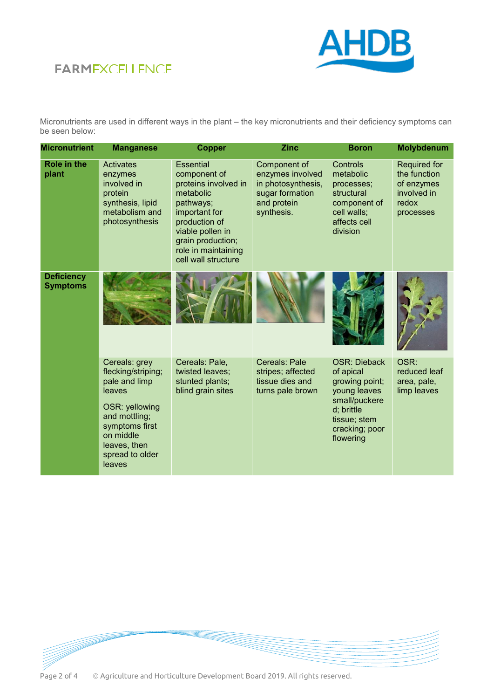## **FARMEXCELLENCE**



Micronutrients are used in different ways in the plant – the key micronutrients and their deficiency symptoms can be seen below:

| <b>Micronutrient</b>                 | <b>Manganese</b>                                                                                                                                                              | <b>Copper</b>                                                                                                                                                                                               | <b>Zinc</b>                                                                                            | <b>Boron</b>                                                                                                                                     | Molybdenum                                                                             |
|--------------------------------------|-------------------------------------------------------------------------------------------------------------------------------------------------------------------------------|-------------------------------------------------------------------------------------------------------------------------------------------------------------------------------------------------------------|--------------------------------------------------------------------------------------------------------|--------------------------------------------------------------------------------------------------------------------------------------------------|----------------------------------------------------------------------------------------|
| Role in the<br>plant                 | <b>Activates</b><br>enzymes<br>involved in<br>protein<br>synthesis, lipid<br>metabolism and<br>photosynthesis                                                                 | <b>Essential</b><br>component of<br>proteins involved in<br>metabolic<br>pathways;<br>important for<br>production of<br>viable pollen in<br>grain production;<br>role in maintaining<br>cell wall structure | Component of<br>enzymes involved<br>in photosynthesis,<br>sugar formation<br>and protein<br>synthesis. | Controls<br>metabolic<br>processes;<br>structural<br>component of<br>cell walls;<br>affects cell<br>division                                     | <b>Required for</b><br>the function<br>of enzymes<br>involved in<br>redox<br>processes |
| <b>Deficiency</b><br><b>Symptoms</b> |                                                                                                                                                                               |                                                                                                                                                                                                             |                                                                                                        |                                                                                                                                                  |                                                                                        |
|                                      | Cereals: grey<br>flecking/striping;<br>pale and limp<br>leaves<br>OSR: yellowing<br>and mottling;<br>symptoms first<br>on middle<br>leaves, then<br>spread to older<br>leaves | Cereals: Pale,<br>twisted leaves;<br>stunted plants;<br>blind grain sites                                                                                                                                   | Cereals: Pale<br>stripes; affected<br>tissue dies and<br>turns pale brown                              | <b>OSR: Dieback</b><br>of apical<br>growing point;<br>young leaves<br>small/puckere<br>d; brittle<br>tissue; stem<br>cracking; poor<br>flowering | OSR:<br>reduced leaf<br>area, pale,<br>limp leaves                                     |



Page 2 of 4  $\circ$  Agriculture and Horticulture Development Board 2019. All rights reserved.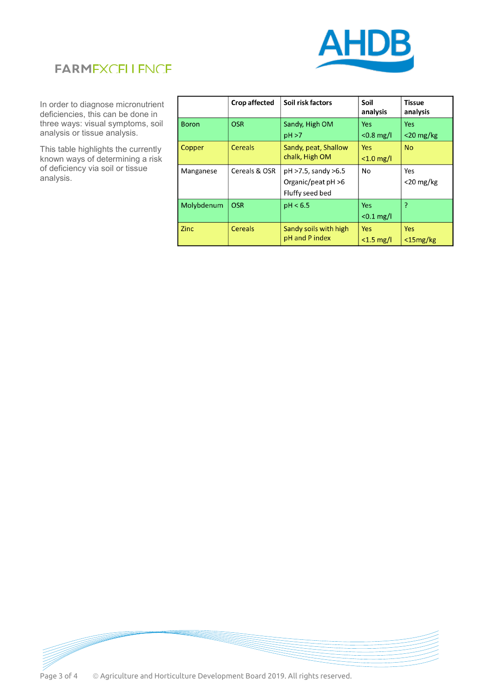



In order to diagnose micronutrient deficiencies, this can be done in three ways: visual symptoms, soil analysis or tissue analysis.

This table highlights the currently known ways of determining a risk of deficiency via soil or tissue analysis.

|              | <b>Crop affected</b> | Soil risk factors                                               | Soil<br>analysis           | <b>Tissue</b><br>analysis    |
|--------------|----------------------|-----------------------------------------------------------------|----------------------------|------------------------------|
| <b>Boron</b> | <b>OSR</b>           | Sandy, High OM<br>pH > 7                                        | <b>Yes</b><br>$< 0.8$ mg/l | Yes<br>$<$ 20 mg/kg          |
| Copper       | <b>Cereals</b>       | Sandy, peat, Shallow<br>chalk, High OM                          | <b>Yes</b><br>$< 1.0$ mg/l | <b>No</b>                    |
| Manganese    | Cereals & OSR        | pH >7.5, sandy >6.5<br>Organic/peat $pH > 6$<br>Fluffy seed bed | No                         | Yes<br>$<$ 20 mg/kg          |
| Molybdenum   | <b>OSR</b>           | pH < 6.5                                                        | <b>Yes</b><br>$< 0.1$ mg/l | P                            |
| <b>Zinc</b>  | <b>Cereals</b>       | Sandy soils with high<br>pH and P index                         | <b>Yes</b><br>$<$ 1.5 mg/l | <b>Yes</b><br>$<$ 15 $mg/kg$ |